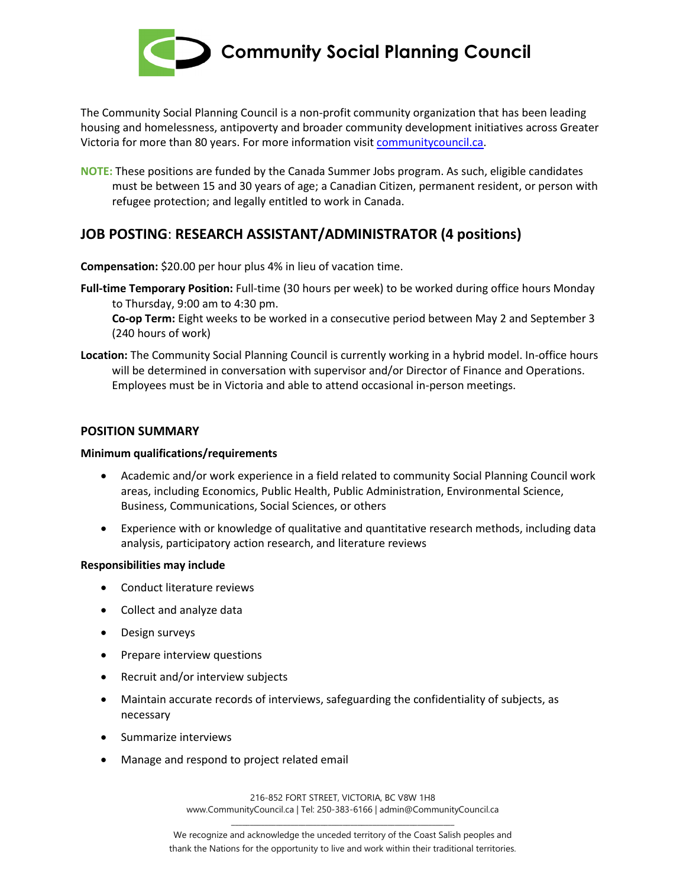

**Community Social Planning Council**

The Community Social Planning Council is a non-profit community organization that has been leading housing and homelessness, antipoverty and broader community development initiatives across Greater Victoria for more than 80 years. For more information visit [communitycouncil.ca.](https://communitycouncil.ca/)

**NOTE:** These positions are funded by the Canada Summer Jobs program. As such, eligible candidates must be between 15 and 30 years of age; a Canadian Citizen, permanent resident, or person with refugee protection; and legally entitled to work in Canada.

# **JOB POSTING**: **RESEARCH ASSISTANT/ADMINISTRATOR (4 positions)**

**Compensation:** \$20.00 per hour plus 4% in lieu of vacation time.

**Full-time Temporary Position:** Full-time (30 hours per week) to be worked during office hours Monday to Thursday, 9:00 am to 4:30 pm.

**Co-op Term:** Eight weeks to be worked in a consecutive period between May 2 and September 3 (240 hours of work)

**Location:** The Community Social Planning Council is currently working in a hybrid model. In-office hours will be determined in conversation with supervisor and/or Director of Finance and Operations. Employees must be in Victoria and able to attend occasional in-person meetings.

# **POSITION SUMMARY**

### **Minimum qualifications/requirements**

- Academic and/or work experience in a field related to community Social Planning Council work areas, including Economics, Public Health, Public Administration, Environmental Science, Business, Communications, Social Sciences, or others
- Experience with or knowledge of qualitative and quantitative research methods, including data analysis, participatory action research, and literature reviews

### **Responsibilities may include**

- Conduct literature reviews
- Collect and analyze data
- Design surveys
- Prepare interview questions
- Recruit and/or interview subjects
- Maintain accurate records of interviews, safeguarding the confidentiality of subjects, as necessary
- Summarize interviews
- Manage and respond to project related email

216-852 FORT STREET, VICTORIA, BC V8W 1H8 www.CommunityCouncil.ca | Tel: 250-383-6166 | admin@CommunityCouncil.ca \_\_\_\_\_\_\_\_\_\_\_\_\_\_\_\_\_\_\_\_\_\_\_\_\_\_\_\_\_\_\_\_\_\_\_\_\_\_\_\_\_\_\_\_\_\_\_\_\_\_\_\_\_\_\_\_\_\_\_\_

We recognize and acknowledge the unceded territory of the Coast Salish peoples and thank the Nations for the opportunity to live and work within their traditional territories.